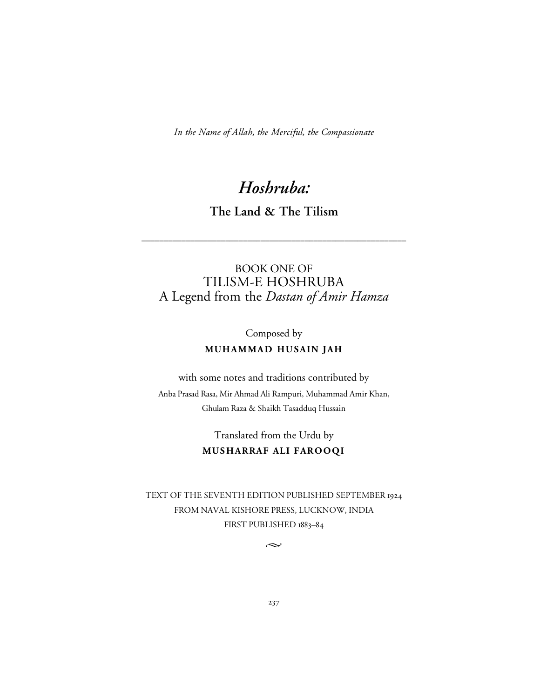*In the Name of Allah, the Merciful, the Compassionate*

# *Hoshruba:*

**The Land & The Tilism**

\_\_\_\_\_\_\_\_\_\_\_\_\_\_\_\_\_\_\_\_\_\_\_\_\_\_\_\_\_\_\_\_\_\_\_\_\_\_\_\_\_\_\_\_\_\_\_\_\_\_\_\_\_\_\_\_\_\_\_\_

# BOOK ONE OF TILISM-E HOSHRUBA A Legend from the *Dastan of Amir Hamza*

Composed by

# **MUHAMMAD HUSAIN JAH**

with some notes and traditions contributed by Anba Prasad Rasa, Mir Ahmad Ali Rampuri, Muhammad Amir Khan, Ghulam Raza & Shaikh Tasadduq Hussain

# Translated from the Urdu by **MUS HARRAF ALI FAROOQI**

TEXT OF THE SEVENTH EDITION PUBLISHED SEPTEMBER 1924 FROM NAVAL KISHORE PRESS, LUCKNOW, INDIA FIRST PUBLISHED 1883–84

 $\sim$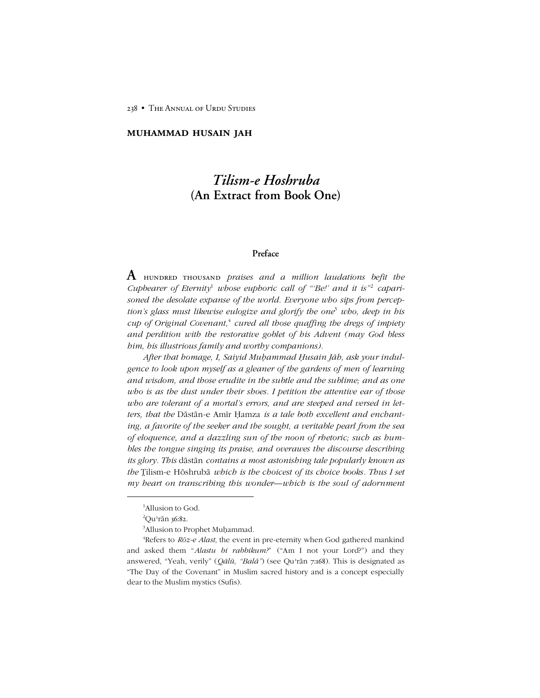238 • The Annual of Urdu Studies

### **muhammad husain jah**

# *Tilism-e Hoshruba* **(An Extract from Book One)**

### **Preface**

**A** hundred thousand *praises and <sup>a</sup> million laudations befit the Cupbearer of Eternity*<sup>1</sup> *whose euphoric call of "Be!' and it is*" *caparisoned the desolate expanse of the world. Everyone who sips from perceptionís glass must likewise eulogize and glorify the one*<sup>3</sup> *who, deep in his cup of Original Covenant,* <sup>4</sup> *cured all those quaffing the dregs of impiety and perdition with the restorative goblet of his Advent (may God bless him, his illustrious family and worthy companions).*

*After that homage, I, Saiyid Muḥammad Ḥusain Jāh, ask your indulgence to look upon myself as a gleaner of the gardens of men of learning and wisdom, and those erudite in the subtle and the sublime; and as one who is as the dust under their shoes. I petition the attentive ear of those who are tolerant of a mortalís errors, and are steeped and versed in letters, that the* Dāstān-e Amīr Ḥamza *is a tale both excellent and enchanting, a favorite of the seeker and the sought, a veritable pearl from the sea of eloquence, and a dazzling sun of the noon of rhetoric; such as humbles the tongue singing its praise, and overawes the discourse describing its glory. This* dāstān *contains a most astonishing tale popularly known as the* ilism-e Hōshrubā *which is the choicest of its choice books. Thus I set my* beart on *transcribing this wonder—which is the soul of adornment* 

<sup>&</sup>lt;sup>1</sup>Allusion to God.

 $^{2}$ Qu<sup>3</sup>rān 36:82.

<sup>&</sup>lt;sup>3</sup>Allusion to Prophet Muḥammad.

<sup>4</sup> Refers to *Rōz-e Alast*, the event in pre-eternity when God gathered mankind and asked them "Alastu bi rabbikum?" ("Am I not your Lord?") and they answered, "Yeah, verily" (*Qālū*, "Balā") (see Qu'rān 7:168). This is designated as "The Day of the Covenant" in Muslim sacred history and is a concept especially dear to the Muslim mystics (Sufis).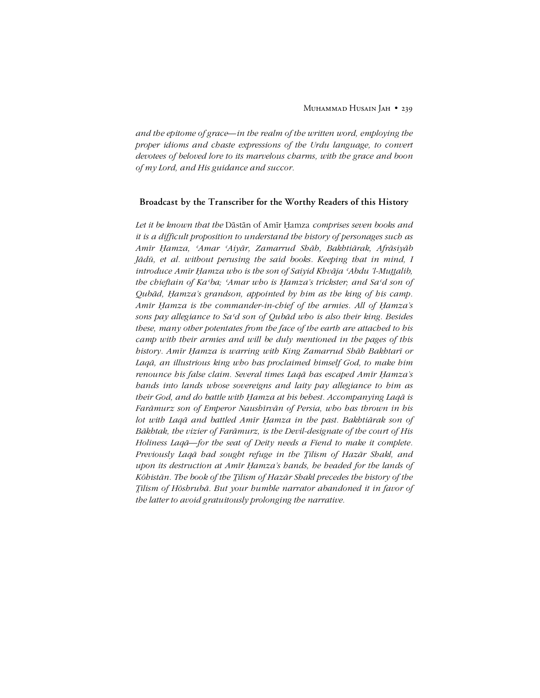*and* the epitome of grace—in the realm of the written word, employing the *proper idioms and chaste expressions of the Urdu language, to convert devotees of beloved lore to its marvelous charms, with the grace and boon of my Lord, and His guidance and succor.*

#### **Broadcast by the Transcriber for the Worthy Readers of this History**

*Let it be known that the* Dāstān of Amīr Ḥamza *comprises seven books and it is a difficult proposition to understand the history of personages such as Amīr Ḥamza, ʿAmar ʿAiyār, Zamarrud Shāh, Bakhtiārak, Afrāsiyāb Jādū, et al. without perusing the said books. Keeping that in mind, I introduce Amīr Ḥamza who is the son of Saiyid Khvāja ʿAbdu íl-Mualib, the chieftain of Kaʿba; ʿAmar who is Ḥamzaís trickster; and Saʿd son of Qubād, Ḥamzaís grandson, appointed by him as the king of his camp. Amīr Ḥamza is the commander-in-chief of the armies. All of Ḥamzaís sons pay allegiance to Saʿd son of Qubād who is also their king. Besides these, many other potentates from the face of the earth are attached to his camp with their armies and will be duly mentioned in the pages of this history. Amīr Ḥamza is warring with King Zamarrud Shāh Bakhtarī or Laqā, an illustrious king who has proclaimed himself God, to make him renounce his false claim. Several times Laqā has escaped Amīr Ḥamzaís hands into lands whose sovereigns and laity pay allegiance to him as their God, and do battle with Ḥamza at his behest. Accompanying Laqā is Farāmurz son of Emperor Naushīrvān of Persia, who has thrown in his lot with Laqā and battled Amīr Ḥamza in the past. Bakhtiārak son of Bākhtak, the vizier of Farāmurz, is the Devil-designate of the court of His Holiness Laq* $\bar{a}$ *<sub>-for the seat of Deity needs a Fiend to make it complete.*</sub> *Previously Laqā had sought refuge in the ilism of Hazār Shakl, and upon its destruction at Amīr Ḥamzaís hands, he headed for the lands of Kōhistān. The book of the ilism of Hazār Shakl precedes the history of the ilism of Hōshrubā. But your humble narrator abandoned it in favor of the latter to avoid gratuitously prolonging the narrative.*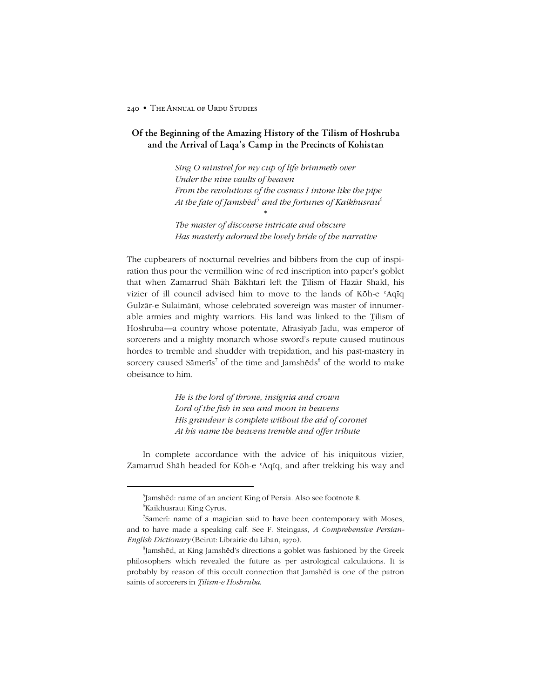# **Of the Beginning of the Amazing History of the Tilism of Hoshruba and the Arrival of Laqa's Camp in the Precincts of Kohistan**

*Sing O minstrel for my cup of life brimmeth over Under the nine vaults of heaven From the revolutions of the cosmos I intone like the pipe At the fate of Jamshēd*<sup>5</sup> *and the fortunes of Kaikhusrau*<sup>6</sup>

*The master of discourse intricate and obscure Has masterly adorned the lovely bride of the narrative*

\*

The cupbearers of nocturnal revelries and bibbers from the cup of inspiration thus pour the vermillion wine of red inscription into paper's goblet that when Zamarrud Shāh Bākhtarī left the Tilism of Hazār Shakl, his vizier of ill council advised him to move to the lands of Kōh-e ʿAqīq Gulzār-e Sulaimānī, whose celebrated sovereign was master of innumerable armies and mighty warriors. His land was linked to the Tilism of Hōshrubā—a country whose potentate, Afrāsiyāb Jādū, was emperor of sorcerers and a mighty monarch whose sword's repute caused mutinous hordes to tremble and shudder with trepidation, and his past-mastery in sorcery caused Sāmerīs <sup>7</sup> of the time and Jamshēds <sup>8</sup> of the world to make obeisance to him.

> *He is the lord of throne, insignia and crown Lord of the fish in sea and moon in heavens His grandeur is complete without the aid of coronet At his name the heavens tremble and offer tribute*

In complete accordance with the advice of his iniquitous vizier, Zamarrud Shāh headed for Kōh-e ʿAqīq, and after trekking his way and

<sup>5</sup> Jamshēd: name of an ancient King of Persia. Also see footnote 8. 6 Kaikhusrau: King Cyrus.

<sup>7</sup> Samerī: name of a magician said to have been contemporary with Moses, and to have made a speaking calf. See F. Steingass, *A Comprehensive Persian-English Dictionary* (Beirut: Librairie du Liban, 1970).

<sup>&</sup>lt;sup>8</sup>Jamshēd, at King Jamshēd's directions a goblet was fashioned by the Greek philosophers which revealed the future as per astrological calculations. It is probably by reason of this occult connection that Jamshēd is one of the patron saints of sorcerers in *ilism-e Hōshrubā*.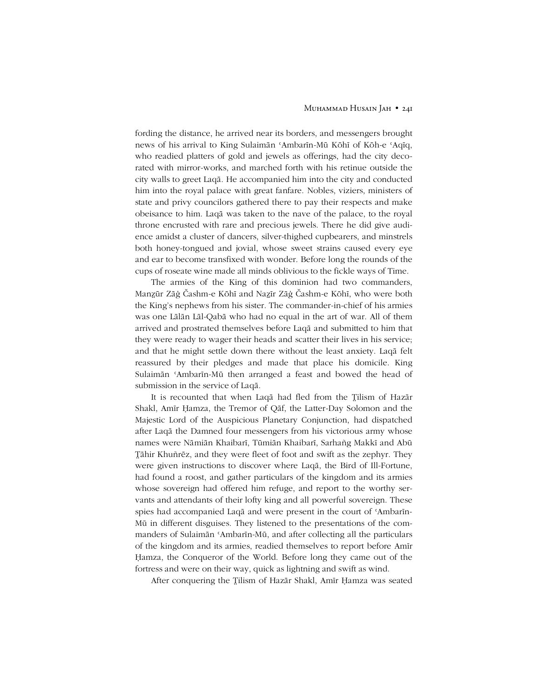#### Muhammad Husain Jah • 241

fording the distance, he arrived near its borders, and messengers brought news of his arrival to King Sulaimān ʿAmbarīn-Mū Kōhī of Kōh-e ʿAqīq, who readied platters of gold and jewels as offerings, had the city decorated with mirror-works, and marched forth with his retinue outside the city walls to greet Laqā. He accompanied him into the city and conducted him into the royal palace with great fanfare. Nobles, viziers, ministers of state and privy councilors gathered there to pay their respects and make obeisance to him. Laqā was taken to the nave of the palace, to the royal throne encrusted with rare and precious jewels. There he did give audience amidst a cluster of dancers, silver-thighed cupbearers, and minstrels both honey-tongued and jovial, whose sweet strains caused every eye and ear to become transfixed with wonder. Before long the rounds of the cups of roseate wine made all minds oblivious to the fickle ways of Time.

The armies of the King of this dominion had two commanders, Manūr Zāġ Čashm-e Kōhī and Naẕīr Zāġ Čashm-e Kōhī, who were both the Kingís nephews from his sister. The commander-in-chief of his armies was one Lālān Lāl-Qabā who had no equal in the art of war. All of them arrived and prostrated themselves before Laqā and submitted to him that they were ready to wager their heads and scatter their lives in his service; and that he might settle down there without the least anxiety. Laqā felt reassured by their pledges and made that place his domicile. King Sulaimān ʿAmbarīn-Mū then arranged a feast and bowed the head of submission in the service of Laqā.

It is recounted that when Laqā had fled from the Tilism of Hazār Shakl, Amīr Ḥamza, the Tremor of Qāf, the Latter-Day Solomon and the Majestic Lord of the Auspicious Planetary Conjunction, had dispatched after Laqā the Damned four messengers from his victorious army whose names were Nāmiān Khaibarī, Tūmiān Khaibarī, Sarhañg Makkī and Abū āhir Khuñrēz, and they were fleet of foot and swift as the zephyr. They were given instructions to discover where Laqā, the Bird of Ill-Fortune, had found a roost, and gather particulars of the kingdom and its armies whose sovereign had offered him refuge, and report to the worthy servants and attendants of their lofty king and all powerful sovereign. These spies had accompanied Laqā and were present in the court of ʿAmbarīn-Mū in different disguises. They listened to the presentations of the commanders of Sulaimān ʿAmbarīn-Mū, and after collecting all the particulars of the kingdom and its armies, readied themselves to report before Amīr Ḥamza, the Conqueror of the World. Before long they came out of the fortress and were on their way, quick as lightning and swift as wind.

After conquering the Tilism of Hazār Shakl, Amīr Ḥamza was seated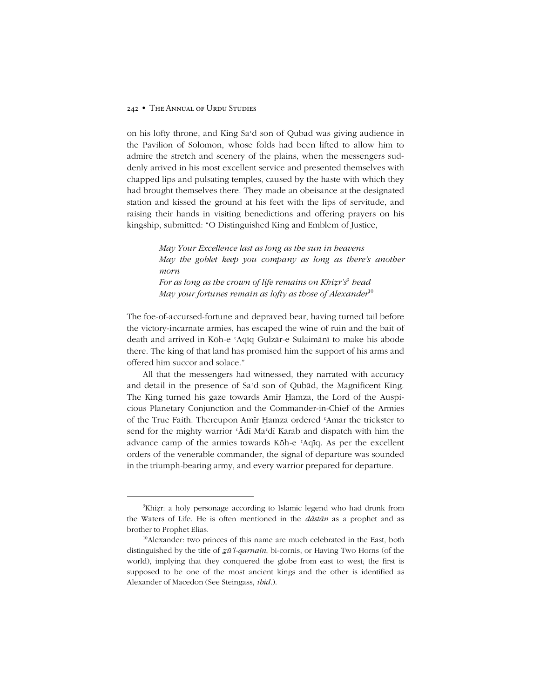on his lofty throne, and King Saʿd son of Qubād was giving audience in the Pavilion of Solomon, whose folds had been lifted to allow him to admire the stretch and scenery of the plains, when the messengers suddenly arrived in his most excellent service and presented themselves with chapped lips and pulsating temples, caused by the haste with which they had brought themselves there. They made an obeisance at the designated station and kissed the ground at his feet with the lips of servitude, and raising their hands in visiting benedictions and offering prayers on his kingship, submitted: "O Distinguished King and Emblem of Justice,

> *May Your Excellence last as long as the sun in heavens May the goblet keep you company as long as thereís another morn For as long as the crown of life remains on Khiẓrís* <sup>9</sup> *head May your fortunes remain as lofty as those of Alexander*<sup>10</sup>

The foe-of-accursed-fortune and depraved bear, having turned tail before the victory-incarnate armies, has escaped the wine of ruin and the bait of death and arrived in Kōh-e ʿAqīq Gulzār-e Sulaimānī to make his abode there. The king of that land has promised him the support of his arms and offered him succor and solace."

All that the messengers had witnessed, they narrated with accuracy and detail in the presence of Saʿd son of Qubād, the Magnificent King. The King turned his gaze towards Amīr Ḥamza, the Lord of the Auspicious Planetary Conjunction and the Commander-in-Chief of the Armies of the True Faith. Thereupon Amīr Ḥamza ordered ʿAmar the trickster to send for the mighty warrior 'Ādī Ma'dī Karab and dispatch with him the advance camp of the armies towards Kōh-e ʿAqīq. As per the excellent orders of the venerable commander, the signal of departure was sounded in the triumph-bearing army, and every warrior prepared for departure.

<sup>9</sup> Khiẓr: a holy personage according to Islamic legend who had drunk from the Waters of Life. He is often mentioned in the *dāstān* as a prophet and as brother to Prophet Elias.

<sup>&</sup>lt;sup>10</sup>Alexander: two princes of this name are much celebrated in the East, both distinguished by the title of *ẕūíl-qarnain*, bi-cornis, or Having Two Horns (of the world), implying that they conquered the globe from east to west; the first is supposed to be one of the most ancient kings and the other is identified as Alexander of Macedon (See Steingass, *ibid.*).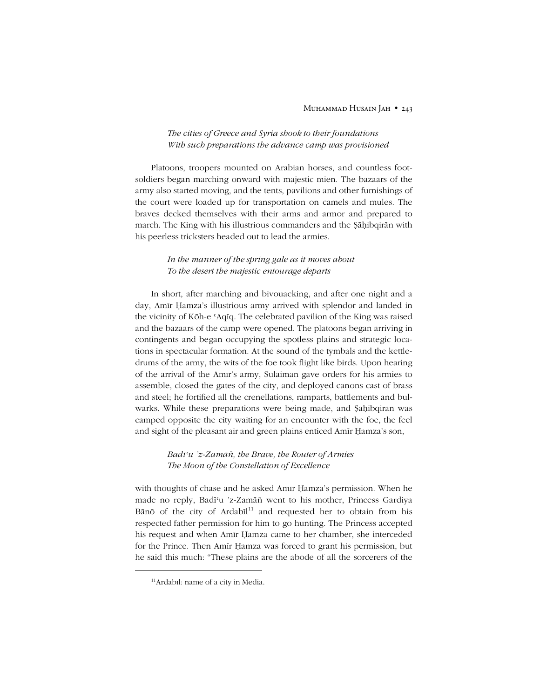#### Muhammad Husain Jah • 243

### *The cities of Greece and Syria shook to their foundations With such preparations the advance camp was provisioned*

Platoons, troopers mounted on Arabian horses, and countless footsoldiers began marching onward with majestic mien. The bazaars of the army also started moving, and the tents, pavilions and other furnishings of the court were loaded up for transportation on camels and mules. The braves decked themselves with their arms and armor and prepared to march. The King with his illustrious commanders and the Ṣāḥibqirān with his peerless tricksters headed out to lead the armies.

### *In the manner of the spring gale as it moves about To the desert the majestic entourage departs*

In short, after marching and bivouacking, and after one night and a day, Amīr Ḥamza's illustrious army arrived with splendor and landed in the vicinity of Kōh-e ʿAqīq. The celebrated pavilion of the King was raised and the bazaars of the camp were opened. The platoons began arriving in contingents and began occupying the spotless plains and strategic locations in spectacular formation. At the sound of the tymbals and the kettledrums of the army, the wits of the foe took flight like birds. Upon hearing of the arrival of the Amīrís army, Sulaimān gave orders for his armies to assemble, closed the gates of the city, and deployed canons cast of brass and steel; he fortified all the crenellations, ramparts, battlements and bulwarks. While these preparations were being made, and Ṣāḥibqirān was camped opposite the city waiting for an encounter with the foe, the feel and sight of the pleasant air and green plains enticed Amīr Ḥamza's son,

# *Badīʿu íz-Zamāñ, the Brave, the Router of Armies The Moon of the Constellation of Excellence*

with thoughts of chase and he asked Amīr Ḥamza's permission. When he made no reply, Badīʿu íz-Zamāñ went to his mother, Princess Gardiya Bānō of the city of Ardabīl<sup>11</sup> and requested her to obtain from his respected father permission for him to go hunting. The Princess accepted his request and when Amīr Ḥamza came to her chamber, she interceded for the Prince. Then Amīr Ḥamza was forced to grant his permission, but he said this much: "These plains are the abode of all the sorcerers of the

-

<sup>11</sup>Ardabīl: name of a city in Media.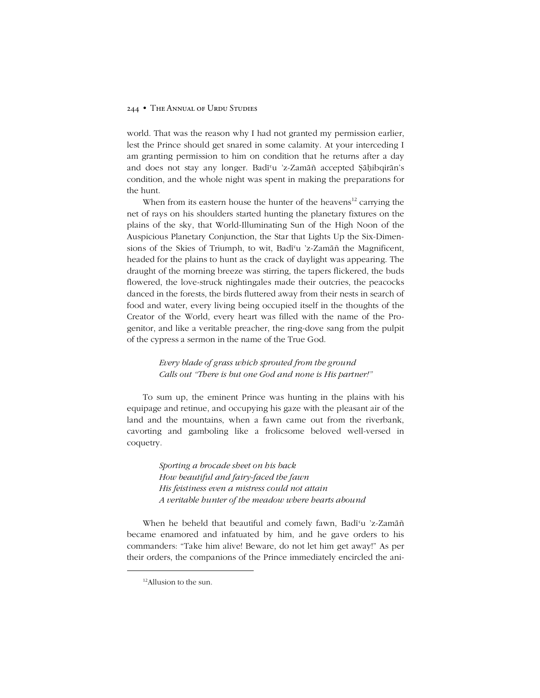world. That was the reason why I had not granted my permission earlier, lest the Prince should get snared in some calamity. At your interceding I am granting permission to him on condition that he returns after a day and does not stay any longer. Badī'u 'z-Zamāñ accepted Şāḥibqirān's condition, and the whole night was spent in making the preparations for the hunt.

When from its eastern house the hunter of the heavens<sup>12</sup> carrying the net of rays on his shoulders started hunting the planetary fixtures on the plains of the sky, that World-Illuminating Sun of the High Noon of the Auspicious Planetary Conjunction, the Star that Lights Up the Six-Dimensions of the Skies of Triumph, to wit, Badīʿu íz-Zamāñ the Magnificent, headed for the plains to hunt as the crack of daylight was appearing. The draught of the morning breeze was stirring, the tapers flickered, the buds flowered, the love-struck nightingales made their outcries, the peacocks danced in the forests, the birds fluttered away from their nests in search of food and water, every living being occupied itself in the thoughts of the Creator of the World, every heart was filled with the name of the Progenitor, and like a veritable preacher, the ring-dove sang from the pulpit of the cypress a sermon in the name of the True God.

# *Every blade of grass which sprouted from the ground Calls out ìThere is but one God and none is His partner!î*

To sum up, the eminent Prince was hunting in the plains with his equipage and retinue, and occupying his gaze with the pleasant air of the land and the mountains, when a fawn came out from the riverbank, cavorting and gamboling like a frolicsome beloved well-versed in coquetry.

> *Sporting a brocade sheet on his back How beautiful and fairy-faced the fawn His feistiness even a mistress could not attain A veritable hunter of the meadow where hearts abound*

When he beheld that beautiful and comely fawn, Badī'u 'z-Zamāñ became enamored and infatuated by him, and he gave orders to his commanders: "Take him alive! Beware, do not let him get away!" As per their orders, the companions of the Prince immediately encircled the ani-

<sup>&</sup>lt;sup>12</sup>Allusion to the sun.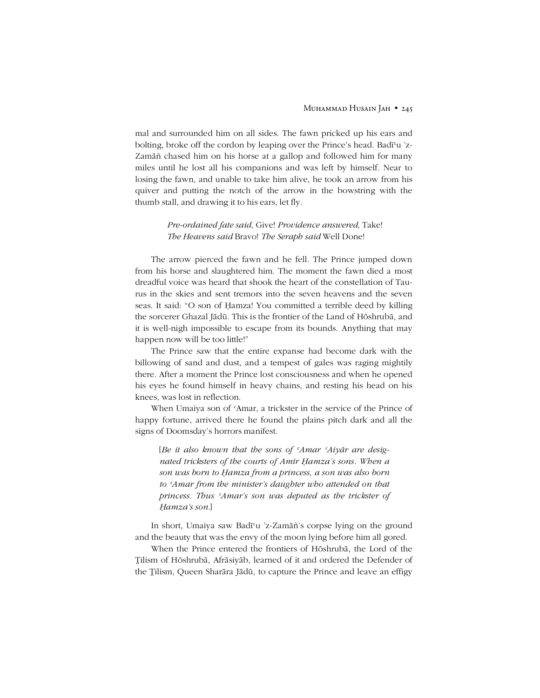mal and surrounded him on all sides. The fawn pricked up his ears and bolting, broke off the cordon by leaping over the Prince's head. Badī<sup>c</sup>u 'z-Zamāñ chased him on his horse at a gallop and followed him for many miles until he lost all his companions and was left by himself. Near to losing the fawn, and unable to take him alive, he took an arrow from his quiver and putting the notch of the arrow in the bowstring with the thumb stall, and drawing it to his ears, let fly.

> *Pre-ordained fate said,* Give! *Providence answered,* Take! *The Heavens said* Bravo! *The Seraph said* Well Done!

The arrow pierced the fawn and he fell. The Prince jumped down from his horse and slaughtered him. The moment the fawn died a most dreadful voice was heard that shook the heart of the constellation of Taurus in the skies and sent tremors into the seven heavens and the seven seas. It said: "O son of Ḥamza! You committed a terrible deed by killing the sorcerer Ghazal Jādū. This is the frontier of the Land of Hōshrubā, and it is well-nigh impossible to escape from its bounds. Anything that may happen now will be too little!"

The Prince saw that the entire expanse had become dark with the billowing of sand and dust, and a tempest of gales was raging mightily there. After a moment the Prince lost consciousness and when he opened his eyes he found himself in heavy chains, and resting his head on his knees, was lost in reflection.

When Umaiya son of 'Amar, a trickster in the service of the Prince of happy fortune, arrived there he found the plains pitch dark and all the signs of Doomsday's horrors manifest.

[*Be it also known that the sons of ʿAmar ʿAiyār are designated tricksters of the courts of Amīr Ḥamzaís sons. When a son was born to Ḥamza from a princess, a son was also born to ʿAmar from the ministerís daughter who attended on that princess. Thus ʿAmarís son was deputed as the trickster of Ḥamzaís son.*]

In short, Umaiya saw Badīʿu íz-Zamāñís corpse lying on the ground and the beauty that was the envy of the moon lying before him all gored.

When the Prince entered the frontiers of Hōshrubā, the Lord of the ilism of Hōshrubā, Afrāsiyāb, learned of it and ordered the Defender of the Tilism, Queen Sharāra Jādū, to capture the Prince and leave an effigy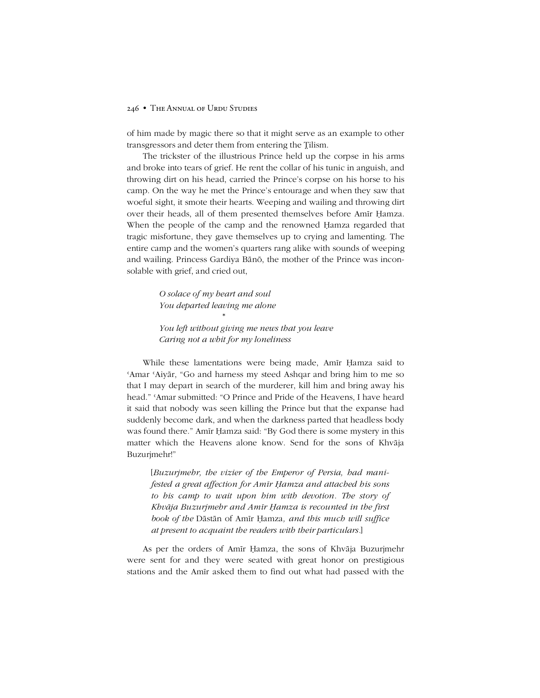of him made by magic there so that it might serve as an example to other transgressors and deter them from entering the Tilism.

The trickster of the illustrious Prince held up the corpse in his arms and broke into tears of grief. He rent the collar of his tunic in anguish, and throwing dirt on his head, carried the Prince's corpse on his horse to his camp. On the way he met the Prince's entourage and when they saw that woeful sight, it smote their hearts. Weeping and wailing and throwing dirt over their heads, all of them presented themselves before Amīr Ḥamza. When the people of the camp and the renowned Ḥamza regarded that tragic misfortune, they gave themselves up to crying and lamenting. The entire camp and the women's quarters rang alike with sounds of weeping and wailing. Princess Gardiya Bānō, the mother of the Prince was inconsolable with grief, and cried out,

> *O solace of my heart and soul You departed leaving me alone*

> > \*

*You left without giving me news that you leave Caring not a whit for my loneliness*

While these lamentations were being made, Amīr Ḥamza said to 'Amar 'Aiyār, "Go and harness my steed Ashqar and bring him to me so that I may depart in search of the murderer, kill him and bring away his head." 'Amar submitted: "O Prince and Pride of the Heavens, I have heard it said that nobody was seen killing the Prince but that the expanse had suddenly become dark, and when the darkness parted that headless body was found there." Amīr Ḥamza said: "By God there is some mystery in this matter which the Heavens alone know. Send for the sons of Khvāja Buzurjmehr!"

[*Buzurjmehr, the vizier of the Emperor of Persia, had manifested a great affection for Amīr Ḥamza and attached his sons to his camp to wait upon him with devotion. The story of Khvāja Buzurjmehr and Amīr Ḥamza is recounted in the first book of the* Dāstān of Amīr Ḥamza*, and this much will suffice at present to acquaint the readers with their particulars.*]

As per the orders of Amīr Ḥamza, the sons of Khvāja Buzurjmehr were sent for and they were seated with great honor on prestigious stations and the Amīr asked them to find out what had passed with the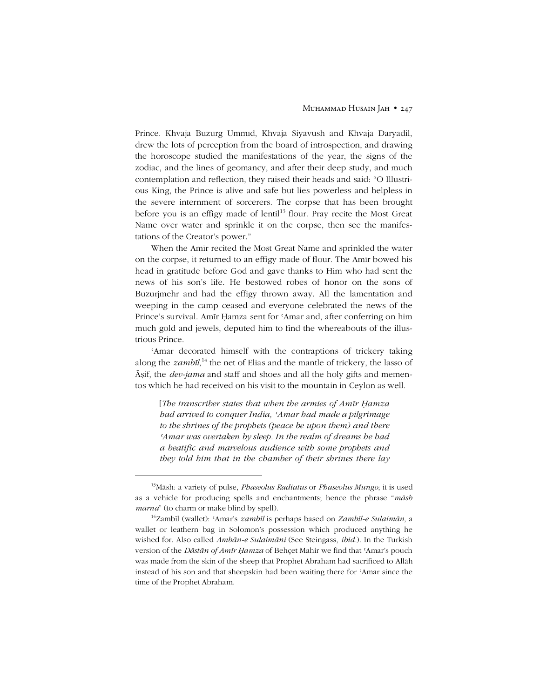Prince. Khvāja Buzurg Ummīd, Khvāja Siyavush and Khvāja Daryādil, drew the lots of perception from the board of introspection, and drawing the horoscope studied the manifestations of the year, the signs of the zodiac, and the lines of geomancy, and after their deep study, and much contemplation and reflection, they raised their heads and said: "O Illustrious King, the Prince is alive and safe but lies powerless and helpless in the severe internment of sorcerers. The corpse that has been brought before you is an effigy made of lentil<sup>13</sup> flour. Pray recite the Most Great Name over water and sprinkle it on the corpse, then see the manifestations of the Creator's power."

When the Amīr recited the Most Great Name and sprinkled the water on the corpse, it returned to an effigy made of flour. The Amīr bowed his head in gratitude before God and gave thanks to Him who had sent the news of his son's life. He bestowed robes of honor on the sons of Buzurjmehr and had the effigy thrown away. All the lamentation and weeping in the camp ceased and everyone celebrated the news of the Prince's survival. Amīr Ḥamza sent for 'Amar and, after conferring on him much gold and jewels, deputed him to find the whereabouts of the illustrious Prince.

ʿAmar decorated himself with the contraptions of trickery taking along the *zambīl*, <sup>14</sup> the net of Elias and the mantle of trickery, the lasso of Āṣif, the *dēv-jāma* and staff and shoes and all the holy gifts and mementos which he had received on his visit to the mountain in Ceylon as well.

[*The transcriber states that when the armies of Amīr Ḥamza had arrived to conquer India, ʿAmar had made a pilgrimage to the shrines of the prophets (peace be upon them) and there ʿAmar was overtaken by sleep. In the realm of dreams he had a beatific and marvelous audience with some prophets and they told him that in the chamber of their shrines there lay*

-

<sup>13</sup>Māsh: a variety of pulse, *Phaseolus Radiatus* or *Phaseolus Mungo*; it is used as a vehicle for producing spells and enchantments; hence the phrase *<sup><i>m*</sup>*āsh*</sub> *mārnā*î (to charm or make blind by spell).

<sup>14</sup>Zambīl (wallet): ʿAmarís *zambīl* is perhaps based on *Zambīl-e Sulaimān*, a wallet or leathern bag in Solomon's possession which produced anything he wished for. Also called *Ambān-e Sulaimāni* (See Steingass, *ibid.*). In the Turkish version of the *Dāstān of Amīr Ḥamza* of Behçet Mahir we find that ʿAmarís pouch was made from the skin of the sheep that Prophet Abraham had sacrificed to Allāh instead of his son and that sheepskin had been waiting there for ʿAmar since the time of the Prophet Abraham.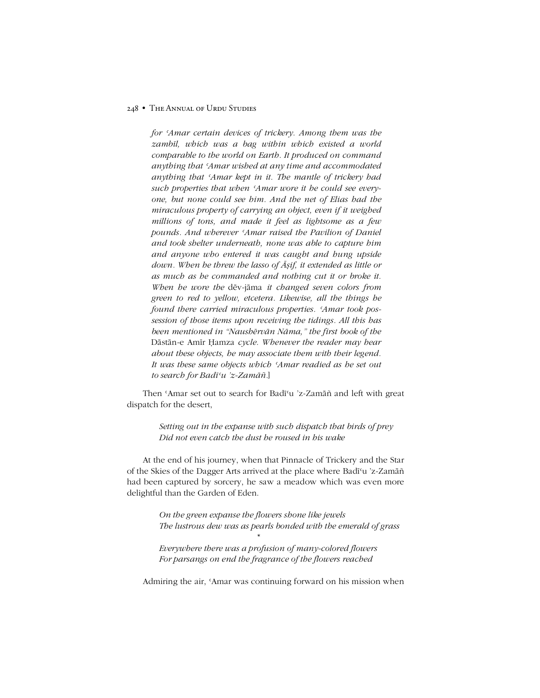*for ʿAmar certain devices of trickery. Among them was the zambīl, which was a bag within which existed a world comparable to the world on Earth. It produced on command anything that ʿAmar wished at any time and accommodated anything that ʿAmar kept in it. The mantle of trickery had such properties that when ʿAmar wore it he could see everyone, but none could see him. And the net of Elias had the miraculous property of carrying an object, even if it weighed millions of tons, and made it feel as lightsome as a few pounds. And wherever ʿAmar raised the Pavilion of Daniel and took shelter underneath, none was able to capture him and anyone who entered it was caught and hung upside down. When he threw the lasso of Āṣif, it extended as little or as much as he commanded and nothing cut it or broke it. When he wore the* dēv-jāma *it changed seven colors from green to red to yellow, etcetera. Likewise, all the things he found there carried miraculous properties. ʿAmar took possession of those items upon receiving the tidings. All this has been mentioned in ìNaushērvān Nāma,î the first book of the* Dāstān-e Amīr Ḥamza *cycle. Whenever the reader may hear about these objects, he may associate them with their legend. It was these same objects which ʿAmar readied as he set out to search for Badīʿu íz-Zamāñ.*]

Then 'Amar set out to search for Badī'u 'z-Zamāñ and left with great dispatch for the desert,

> *Setting out in the expanse with such dispatch that birds of prey Did not even catch the dust he roused in his wake*

At the end of his journey, when that Pinnacle of Trickery and the Star of the Skies of the Dagger Arts arrived at the place where Badīʿu íz-Zamāñ had been captured by sorcery, he saw a meadow which was even more delightful than the Garden of Eden.

> *On the green expanse the flowers shone like jewels The lustrous dew was as pearls bonded with the emerald of grass*

*Everywhere there was a profusion of many-colored flowers For parsangs on end the fragrance of the flowers reached*

*\**

Admiring the air, ʿAmar was continuing forward on his mission when